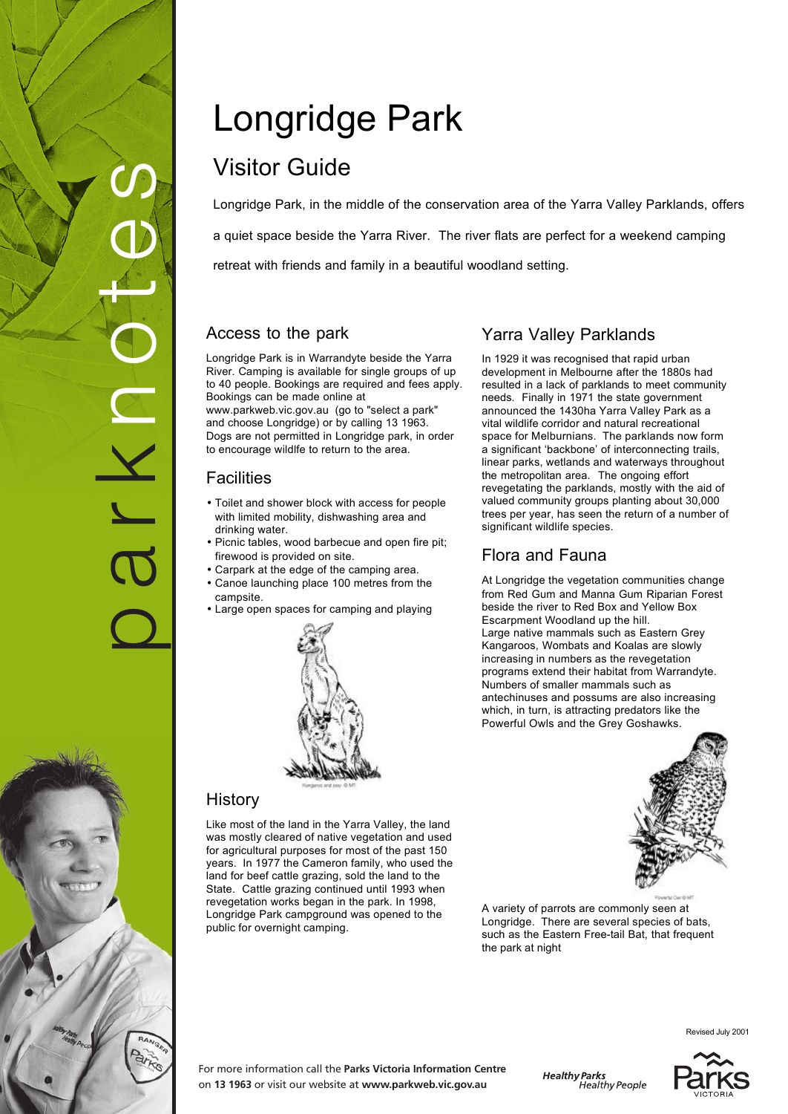# p a r k n o t e s N J R

# Longridge Park

## Visitor Guide

Longridge Park, in the middle of the conservation area of the Yarra Valley Parklands, offers a quiet space beside the Yarra River. The river flats are perfect for a weekend camping retreat with friends and family in a beautiful woodland setting.

### Access to the park

Longridge Park is in Warrandyte beside the Yarra River. Camping is available for single groups of up to 40 people. Bookings are required and fees apply. Bookings can be made online at www.parkweb.vic.gov.au (go to "select a park" and choose Longridge) or by calling 13 1963. Dogs are not permitted in Longridge park, in order to encourage wildlfe to return to the area.

### **Facilities**

- Toilet and shower block with access for people with limited mobility, dishwashing area and drinking water.
- Picnic tables, wood barbecue and open fire pit; firewood is provided on site.
- Carpark at the edge of the camping area.
- Canoe launching place 100 metres from the campsite.
- Large open spaces for camping and playing



### **History**

Like most of the land in the Yarra Valley, the land was mostly cleared of native vegetation and used for agricultural purposes for most of the past 150 years. In 1977 the Cameron family, who used the land for beef cattle grazing, sold the land to the State. Cattle grazing continued until 1993 when revegetation works began in the park. In 1998, Longridge Park campground was opened to the public for overnight camping.

# Yarra Valley Parklands

In 1929 it was recognised that rapid urban development in Melbourne after the 1880s had resulted in a lack of parklands to meet community needs. Finally in 1971 the state government announced the 1430ha Yarra Valley Park as a vital wildlife corridor and natural recreational space for Melburnians. The parklands now form a significant 'backbone' of interconnecting trails, linear parks, wetlands and waterways throughout the metropolitan area. The ongoing effort revegetating the parklands, mostly with the aid of valued community groups planting about 30,000 trees per year, has seen the return of a number of significant wildlife species.

### Flora and Fauna

At Longridge the vegetation communities change from Red Gum and Manna Gum Riparian Forest beside the river to Red Box and Yellow Box Escarpment Woodland up the hill. Large native mammals such as Eastern Grey Kangaroos, Wombats and Koalas are slowly increasing in numbers as the revegetation programs extend their habitat from Warrandyte. Numbers of smaller mammals such as antechinuses and possums are also increasing which, in turn, is attracting predators like the Powerful Owls and the Grey Goshawks.



A variety of parrots are commonly seen at Longridge. There are several species of bats, such as the Eastern Free-tail Bat, that frequent the park at night